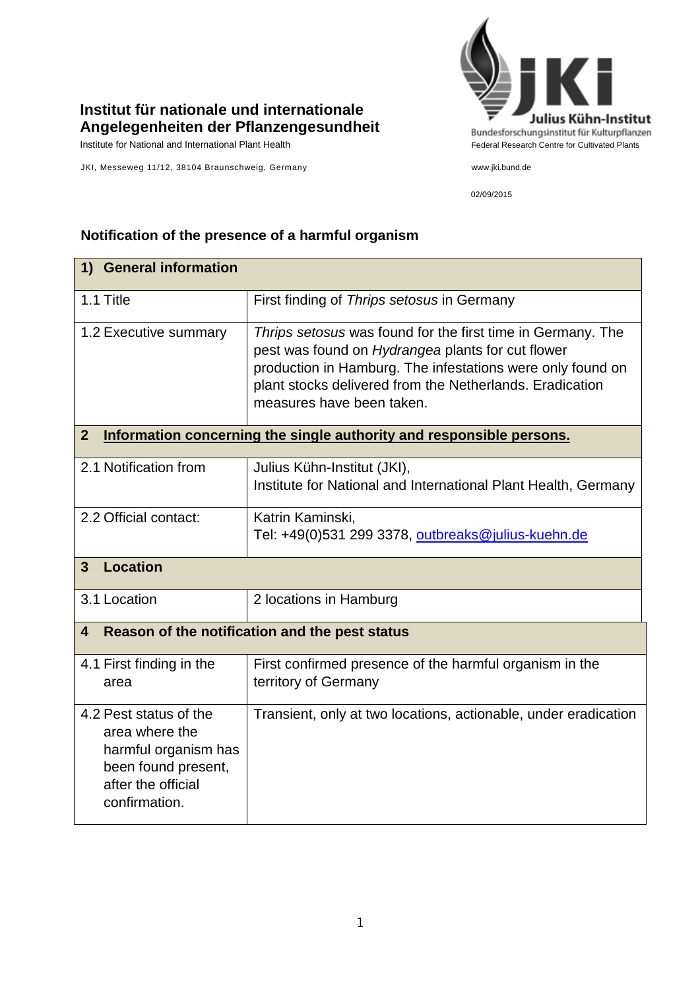## **Institut für nationale und internationale Angelegenheiten der Pflanzengesundheit**

JKI, Messeweg 11/12, 38104 Braunschweig, Germany www.jki.bund.de



02/09/2015

## **Notification of the presence of a harmful organism**

| 1) General information                                                                                                         |                                                                                                                                                                                                                                                                         |  |
|--------------------------------------------------------------------------------------------------------------------------------|-------------------------------------------------------------------------------------------------------------------------------------------------------------------------------------------------------------------------------------------------------------------------|--|
| 1.1 Title                                                                                                                      | First finding of Thrips setosus in Germany                                                                                                                                                                                                                              |  |
| 1.2 Executive summary                                                                                                          | Thrips setosus was found for the first time in Germany. The<br>pest was found on Hydrangea plants for cut flower<br>production in Hamburg. The infestations were only found on<br>plant stocks delivered from the Netherlands. Eradication<br>measures have been taken. |  |
| $\overline{2}$<br>Information concerning the single authority and responsible persons.                                         |                                                                                                                                                                                                                                                                         |  |
| 2.1 Notification from                                                                                                          | Julius Kühn-Institut (JKI),<br>Institute for National and International Plant Health, Germany                                                                                                                                                                           |  |
| 2.2 Official contact:                                                                                                          | Katrin Kaminski,<br>Tel: +49(0)531 299 3378, outbreaks@julius-kuehn.de                                                                                                                                                                                                  |  |
| <b>Location</b><br>$\overline{3}$                                                                                              |                                                                                                                                                                                                                                                                         |  |
| 3.1 Location                                                                                                                   | 2 locations in Hamburg                                                                                                                                                                                                                                                  |  |
| Reason of the notification and the pest status<br>4                                                                            |                                                                                                                                                                                                                                                                         |  |
| 4.1 First finding in the<br>area                                                                                               | First confirmed presence of the harmful organism in the<br>territory of Germany                                                                                                                                                                                         |  |
| 4.2 Pest status of the<br>area where the<br>harmful organism has<br>been found present,<br>after the official<br>confirmation. | Transient, only at two locations, actionable, under eradication                                                                                                                                                                                                         |  |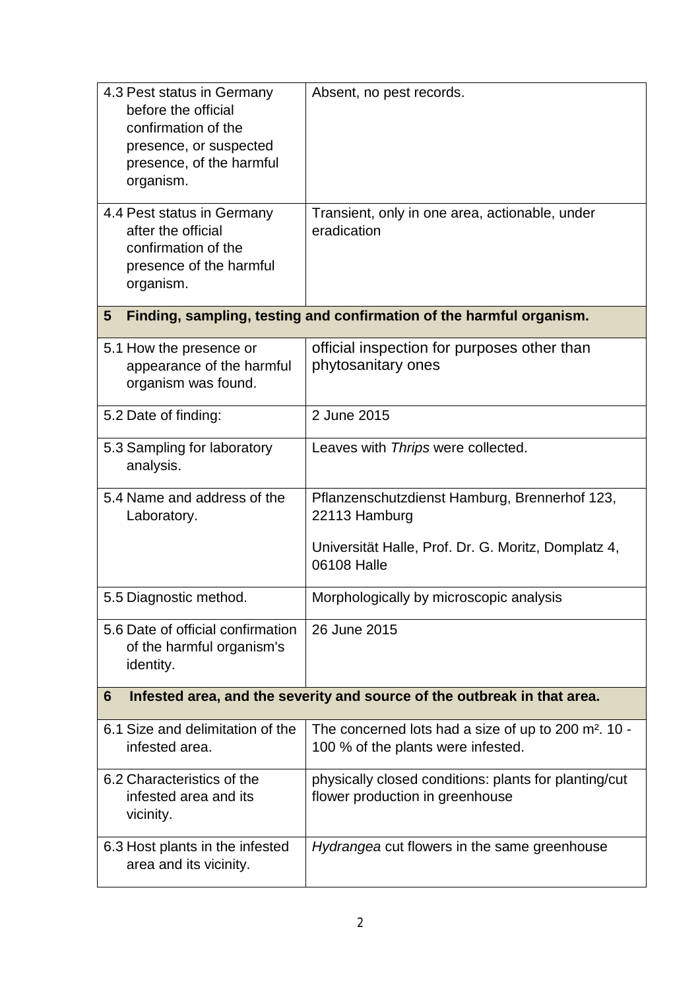| 4.3 Pest status in Germany<br>before the official<br>confirmation of the<br>presence, or suspected<br>presence, of the harmful<br>organism. | Absent, no pest records.                                                                                                             |  |
|---------------------------------------------------------------------------------------------------------------------------------------------|--------------------------------------------------------------------------------------------------------------------------------------|--|
| 4.4 Pest status in Germany<br>after the official<br>confirmation of the<br>presence of the harmful<br>organism.                             | Transient, only in one area, actionable, under<br>eradication                                                                        |  |
| Finding, sampling, testing and confirmation of the harmful organism.<br>5 <sup>5</sup>                                                      |                                                                                                                                      |  |
| 5.1 How the presence or<br>appearance of the harmful<br>organism was found.                                                                 | official inspection for purposes other than<br>phytosanitary ones                                                                    |  |
| 5.2 Date of finding:                                                                                                                        | 2 June 2015                                                                                                                          |  |
| 5.3 Sampling for laboratory<br>analysis.                                                                                                    | Leaves with Thrips were collected.                                                                                                   |  |
| 5.4 Name and address of the<br>Laboratory.                                                                                                  | Pflanzenschutzdienst Hamburg, Brennerhof 123,<br>22113 Hamburg<br>Universität Halle, Prof. Dr. G. Moritz, Domplatz 4,<br>06108 Halle |  |
| 5.5 Diagnostic method.                                                                                                                      | Morphologically by microscopic analysis                                                                                              |  |
| 5.6 Date of official confirmation<br>of the harmful organism's<br>identity.                                                                 | 26 June 2015                                                                                                                         |  |
| Infested area, and the severity and source of the outbreak in that area.<br>6                                                               |                                                                                                                                      |  |
| 6.1 Size and delimitation of the<br>infested area.                                                                                          | The concerned lots had a size of up to 200 m <sup>2</sup> . 10 -<br>100 % of the plants were infested.                               |  |
| 6.2 Characteristics of the<br>infested area and its<br>vicinity.                                                                            | physically closed conditions: plants for planting/cut<br>flower production in greenhouse                                             |  |
| 6.3 Host plants in the infested<br>area and its vicinity.                                                                                   | Hydrangea cut flowers in the same greenhouse                                                                                         |  |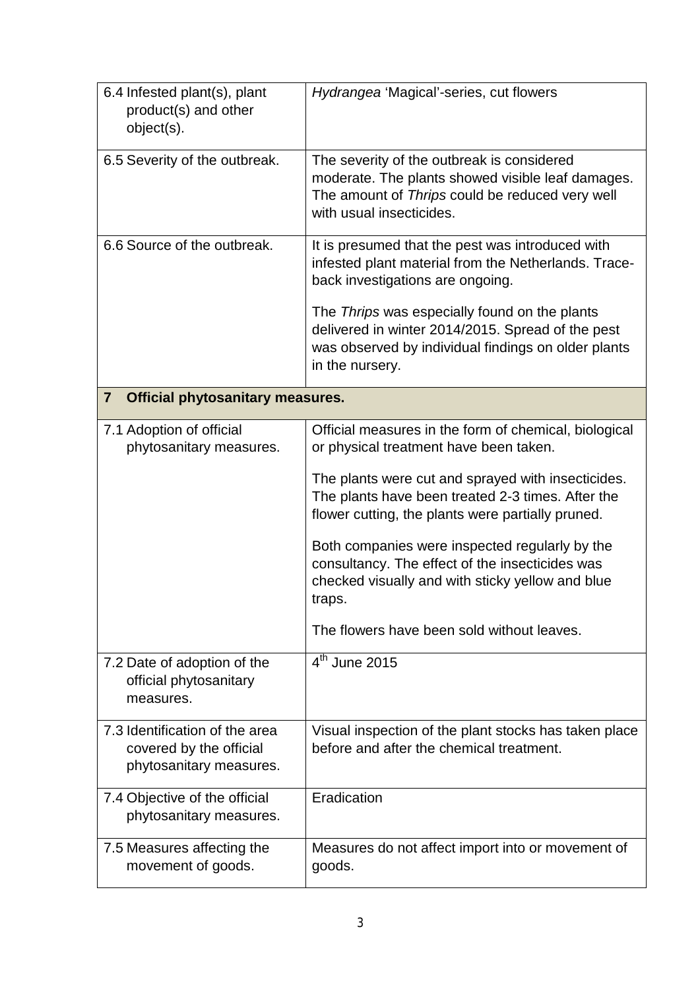| 6.4 Infested plant(s), plant<br>product(s) and other<br>object(s).                   | Hydrangea 'Magical'-series, cut flowers                                                                                                                                        |  |
|--------------------------------------------------------------------------------------|--------------------------------------------------------------------------------------------------------------------------------------------------------------------------------|--|
| 6.5 Severity of the outbreak.                                                        | The severity of the outbreak is considered<br>moderate. The plants showed visible leaf damages.<br>The amount of Thrips could be reduced very well<br>with usual insecticides. |  |
| 6.6 Source of the outbreak.                                                          | It is presumed that the pest was introduced with<br>infested plant material from the Netherlands. Trace-<br>back investigations are ongoing.                                   |  |
|                                                                                      | The Thrips was especially found on the plants<br>delivered in winter 2014/2015. Spread of the pest<br>was observed by individual findings on older plants<br>in the nursery.   |  |
| <b>Official phytosanitary measures.</b><br>$\overline{\mathbf{r}}$                   |                                                                                                                                                                                |  |
| 7.1 Adoption of official<br>phytosanitary measures.                                  | Official measures in the form of chemical, biological<br>or physical treatment have been taken.                                                                                |  |
|                                                                                      | The plants were cut and sprayed with insecticides.<br>The plants have been treated 2-3 times. After the<br>flower cutting, the plants were partially pruned.                   |  |
|                                                                                      | Both companies were inspected regularly by the<br>consultancy. The effect of the insecticides was<br>checked visually and with sticky yellow and blue<br>traps.                |  |
|                                                                                      | The flowers have been sold without leaves.                                                                                                                                     |  |
| 7.2 Date of adoption of the<br>official phytosanitary<br>measures.                   | $4th$ June 2015                                                                                                                                                                |  |
| 7.3 Identification of the area<br>covered by the official<br>phytosanitary measures. | Visual inspection of the plant stocks has taken place<br>before and after the chemical treatment.                                                                              |  |
| 7.4 Objective of the official<br>phytosanitary measures.                             | Eradication                                                                                                                                                                    |  |
| 7.5 Measures affecting the<br>movement of goods.                                     | Measures do not affect import into or movement of<br>goods.                                                                                                                    |  |